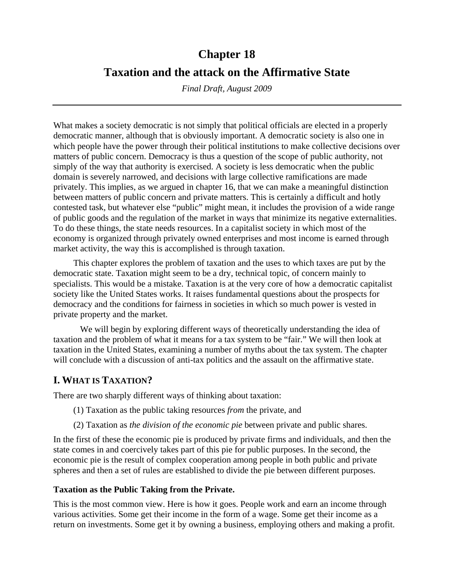# **Chapter 18**

# **Taxation and the attack on the Affirmative State**

*Final Draft, August 2009*

What makes a society democratic is not simply that political officials are elected in a properly democratic manner, although that is obviously important. A democratic society is also one in which people have the power through their political institutions to make collective decisions over matters of public concern. Democracy is thus a question of the scope of public authority, not simply of the way that authority is exercised. A society is less democratic when the public domain is severely narrowed, and decisions with large collective ramifications are made privately. This implies, as we argued in chapter 16, that we can make a meaningful distinction between matters of public concern and private matters. This is certainly a difficult and hotly contested task, but whatever else "public" might mean, it includes the provision of a wide range of public goods and the regulation of the market in ways that minimize its negative externalities. To do these things, the state needs resources. In a capitalist society in which most of the economy is organized through privately owned enterprises and most income is earned through market activity, the way this is accomplished is through taxation.

 This chapter explores the problem of taxation and the uses to which taxes are put by the democratic state. Taxation might seem to be a dry, technical topic, of concern mainly to specialists. This would be a mistake. Taxation is at the very core of how a democratic capitalist society like the United States works. It raises fundamental questions about the prospects for democracy and the conditions for fairness in societies in which so much power is vested in private property and the market.

We will begin by exploring different ways of theoretically understanding the idea of taxation and the problem of what it means for a tax system to be "fair." We will then look at taxation in the United States, examining a number of myths about the tax system. The chapter will conclude with a discussion of anti-tax politics and the assault on the affirmative state.

## **I. WHAT IS TAXATION?**

There are two sharply different ways of thinking about taxation:

- (1) Taxation as the public taking resources *from* the private, and
- (2) Taxation as *the division of the economic pie* between private and public shares.

In the first of these the economic pie is produced by private firms and individuals, and then the state comes in and coercively takes part of this pie for public purposes. In the second, the economic pie is the result of complex cooperation among people in both public and private spheres and then a set of rules are established to divide the pie between different purposes.

## **Taxation as the Public Taking from the Private.**

This is the most common view. Here is how it goes. People work and earn an income through various activities. Some get their income in the form of a wage. Some get their income as a return on investments. Some get it by owning a business, employing others and making a profit.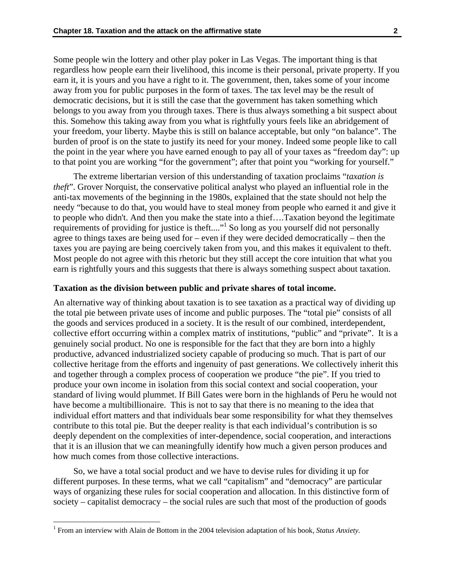Some people win the lottery and other play poker in Las Vegas. The important thing is that regardless how people earn their livelihood, this income is their personal, private property. If you earn it, it is yours and you have a right to it. The government, then, takes some of your income away from you for public purposes in the form of taxes. The tax level may be the result of democratic decisions, but it is still the case that the government has taken something which belongs to you away from you through taxes. There is thus always something a bit suspect about this. Somehow this taking away from you what is rightfully yours feels like an abridgement of your freedom, your liberty. Maybe this is still on balance acceptable, but only "on balance". The burden of proof is on the state to justify its need for your money. Indeed some people like to call the point in the year where you have earned enough to pay all of your taxes as "freedom day": up to that point you are working "for the government"; after that point you "working for yourself."

 The extreme libertarian version of this understanding of taxation proclaims "*taxation is theft*". Grover Norquist, the conservative political analyst who played an influential role in the anti-tax movements of the beginning in the 1980s, explained that the state should not help the needy "because to do that, you would have to steal money from people who earned it and give it to people who didn't. And then you make the state into a thief….Taxation beyond the legitimate requirements of providing for justice is theft...."<sup>1</sup> So long as you yourself did not personally agree to things taxes are being used for – even if they were decided democratically – then the taxes you are paying are being coercively taken from you, and this makes it equivalent to theft. Most people do not agree with this rhetoric but they still accept the core intuition that what you earn is rightfully yours and this suggests that there is always something suspect about taxation.

#### **Taxation as the division between public and private shares of total income.**

An alternative way of thinking about taxation is to see taxation as a practical way of dividing up the total pie between private uses of income and public purposes. The "total pie" consists of all the goods and services produced in a society. It is the result of our combined, interdependent, collective effort occurring within a complex matrix of institutions, "public" and "private". It is a genuinely social product. No one is responsible for the fact that they are born into a highly productive, advanced industrialized society capable of producing so much. That is part of our collective heritage from the efforts and ingenuity of past generations. We collectively inherit this and together through a complex process of cooperation we produce "the pie". If you tried to produce your own income in isolation from this social context and social cooperation, your standard of living would plummet. If Bill Gates were born in the highlands of Peru he would not have become a multibillionaire. This is not to say that there is no meaning to the idea that individual effort matters and that individuals bear some responsibility for what they themselves contribute to this total pie. But the deeper reality is that each individual's contribution is so deeply dependent on the complexities of inter-dependence, social cooperation, and interactions that it is an illusion that we can meaningfully identify how much a given person produces and how much comes from those collective interactions.

 So, we have a total social product and we have to devise rules for dividing it up for different purposes. In these terms, what we call "capitalism" and "democracy" are particular ways of organizing these rules for social cooperation and allocation. In this distinctive form of society – capitalist democracy – the social rules are such that most of the production of goods

 $\overline{a}$ 

<sup>&</sup>lt;sup>1</sup> From an interview with Alain de Bottom in the 2004 television adaptation of his book, *Status Anxiety*.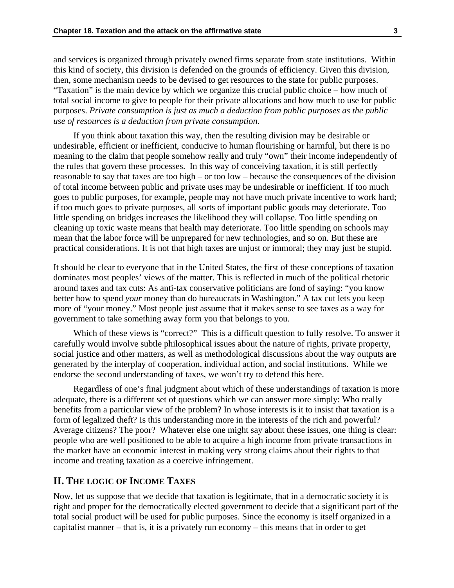and services is organized through privately owned firms separate from state institutions. Within this kind of society, this division is defended on the grounds of efficiency. Given this division, then, some mechanism needs to be devised to get resources to the state for public purposes. "Taxation" is the main device by which we organize this crucial public choice – how much of total social income to give to people for their private allocations and how much to use for public purposes. *Private consumption is just as much a deduction from public purposes as the public use of resources is a deduction from private consumption.*

 If you think about taxation this way, then the resulting division may be desirable or undesirable, efficient or inefficient, conducive to human flourishing or harmful, but there is no meaning to the claim that people somehow really and truly "own" their income independently of the rules that govern these processes. In this way of conceiving taxation, it is still perfectly reasonable to say that taxes are too high – or too low – because the consequences of the division of total income between public and private uses may be undesirable or inefficient. If too much goes to public purposes, for example, people may not have much private incentive to work hard; if too much goes to private purposes, all sorts of important public goods may deteriorate. Too little spending on bridges increases the likelihood they will collapse. Too little spending on cleaning up toxic waste means that health may deteriorate. Too little spending on schools may mean that the labor force will be unprepared for new technologies, and so on. But these are practical considerations. It is not that high taxes are unjust or immoral; they may just be stupid.

It should be clear to everyone that in the United States, the first of these conceptions of taxation dominates most peoples' views of the matter. This is reflected in much of the political rhetoric around taxes and tax cuts: As anti-tax conservative politicians are fond of saying: "you know better how to spend *your* money than do bureaucrats in Washington." A tax cut lets you keep more of "your money." Most people just assume that it makes sense to see taxes as a way for government to take something away form you that belongs to you.

Which of these views is "correct?" This is a difficult question to fully resolve. To answer it carefully would involve subtle philosophical issues about the nature of rights, private property, social justice and other matters, as well as methodological discussions about the way outputs are generated by the interplay of cooperation, individual action, and social institutions. While we endorse the second understanding of taxes, we won't try to defend this here.

 Regardless of one's final judgment about which of these understandings of taxation is more adequate, there is a different set of questions which we can answer more simply: Who really benefits from a particular view of the problem? In whose interests is it to insist that taxation is a form of legalized theft? Is this understanding more in the interests of the rich and powerful? Average citizens? The poor? Whatever else one might say about these issues, one thing is clear: people who are well positioned to be able to acquire a high income from private transactions in the market have an economic interest in making very strong claims about their rights to that income and treating taxation as a coercive infringement.

## **II. THE LOGIC OF INCOME TAXES**

Now, let us suppose that we decide that taxation is legitimate, that in a democratic society it is right and proper for the democratically elected government to decide that a significant part of the total social product will be used for public purposes. Since the economy is itself organized in a capitalist manner – that is, it is a privately run economy – this means that in order to get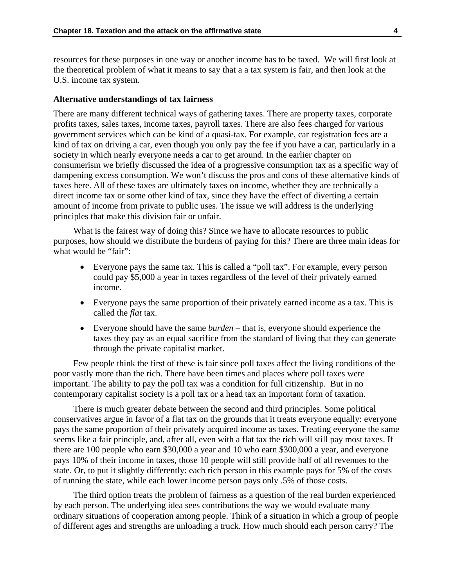resources for these purposes in one way or another income has to be taxed. We will first look at the theoretical problem of what it means to say that a a tax system is fair, and then look at the U.S. income tax system.

#### **Alternative understandings of tax fairness**

There are many different technical ways of gathering taxes. There are property taxes, corporate profits taxes, sales taxes, income taxes, payroll taxes. There are also fees charged for various government services which can be kind of a quasi-tax. For example, car registration fees are a kind of tax on driving a car, even though you only pay the fee if you have a car, particularly in a society in which nearly everyone needs a car to get around. In the earlier chapter on consumerism we briefly discussed the idea of a progressive consumption tax as a specific way of dampening excess consumption. We won't discuss the pros and cons of these alternative kinds of taxes here. All of these taxes are ultimately taxes on income, whether they are technically a direct income tax or some other kind of tax, since they have the effect of diverting a certain amount of income from private to public uses. The issue we will address is the underlying principles that make this division fair or unfair.

 What is the fairest way of doing this? Since we have to allocate resources to public purposes, how should we distribute the burdens of paying for this? There are three main ideas for what would be "fair":

- Everyone pays the same tax. This is called a "poll tax". For example, every person could pay \$5,000 a year in taxes regardless of the level of their privately earned income.
- Everyone pays the same proportion of their privately earned income as a tax. This is called the *flat* tax.
- Everyone should have the same *burden* that is, everyone should experience the taxes they pay as an equal sacrifice from the standard of living that they can generate through the private capitalist market.

 Few people think the first of these is fair since poll taxes affect the living conditions of the poor vastly more than the rich. There have been times and places where poll taxes were important. The ability to pay the poll tax was a condition for full citizenship. But in no contemporary capitalist society is a poll tax or a head tax an important form of taxation.

 There is much greater debate between the second and third principles. Some political conservatives argue in favor of a flat tax on the grounds that it treats everyone equally: everyone pays the same proportion of their privately acquired income as taxes. Treating everyone the same seems like a fair principle, and, after all, even with a flat tax the rich will still pay most taxes. If there are 100 people who earn \$30,000 a year and 10 who earn \$300,000 a year, and everyone pays 10% of their income in taxes, those 10 people will still provide half of all revenues to the state. Or, to put it slightly differently: each rich person in this example pays for 5% of the costs of running the state, while each lower income person pays only .5% of those costs.

 The third option treats the problem of fairness as a question of the real burden experienced by each person. The underlying idea sees contributions the way we would evaluate many ordinary situations of cooperation among people. Think of a situation in which a group of people of different ages and strengths are unloading a truck. How much should each person carry? The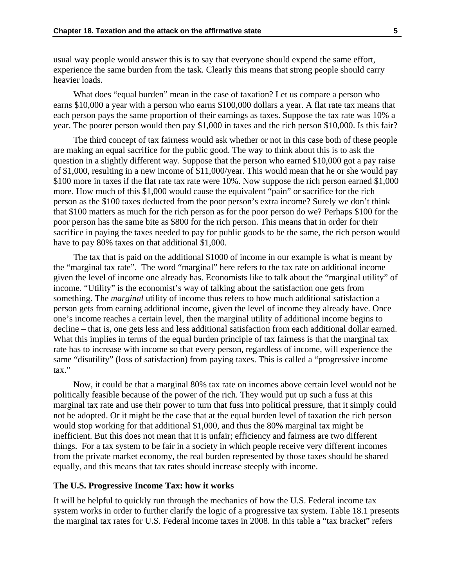usual way people would answer this is to say that everyone should expend the same effort, experience the same burden from the task. Clearly this means that strong people should carry heavier loads.

What does "equal burden" mean in the case of taxation? Let us compare a person who earns \$10,000 a year with a person who earns \$100,000 dollars a year. A flat rate tax means that each person pays the same proportion of their earnings as taxes. Suppose the tax rate was 10% a year. The poorer person would then pay \$1,000 in taxes and the rich person \$10,000. Is this fair?

 The third concept of tax fairness would ask whether or not in this case both of these people are making an equal sacrifice for the public good. The way to think about this is to ask the question in a slightly different way. Suppose that the person who earned \$10,000 got a pay raise of \$1,000, resulting in a new income of \$11,000/year. This would mean that he or she would pay \$100 more in taxes if the flat rate tax rate were 10%. Now suppose the rich person earned \$1,000 more. How much of this \$1,000 would cause the equivalent "pain" or sacrifice for the rich person as the \$100 taxes deducted from the poor person's extra income? Surely we don't think that \$100 matters as much for the rich person as for the poor person do we? Perhaps \$100 for the poor person has the same bite as \$800 for the rich person. This means that in order for their sacrifice in paying the taxes needed to pay for public goods to be the same, the rich person would have to pay 80% taxes on that additional \$1,000.

 The tax that is paid on the additional \$1000 of income in our example is what is meant by the "marginal tax rate". The word "marginal" here refers to the tax rate on additional income given the level of income one already has. Economists like to talk about the "marginal utility" of income. "Utility" is the economist's way of talking about the satisfaction one gets from something. The *marginal* utility of income thus refers to how much additional satisfaction a person gets from earning additional income, given the level of income they already have. Once one's income reaches a certain level, then the marginal utility of additional income begins to decline – that is, one gets less and less additional satisfaction from each additional dollar earned. What this implies in terms of the equal burden principle of tax fairness is that the marginal tax rate has to increase with income so that every person, regardless of income, will experience the same "disutility" (loss of satisfaction) from paying taxes. This is called a "progressive income tax."

 Now, it could be that a marginal 80% tax rate on incomes above certain level would not be politically feasible because of the power of the rich. They would put up such a fuss at this marginal tax rate and use their power to turn that fuss into political pressure, that it simply could not be adopted. Or it might be the case that at the equal burden level of taxation the rich person would stop working for that additional \$1,000, and thus the 80% marginal tax might be inefficient. But this does not mean that it is unfair; efficiency and fairness are two different things. For a tax system to be fair in a society in which people receive very different incomes from the private market economy, the real burden represented by those taxes should be shared equally, and this means that tax rates should increase steeply with income.

#### **The U.S. Progressive Income Tax: how it works**

It will be helpful to quickly run through the mechanics of how the U.S. Federal income tax system works in order to further clarify the logic of a progressive tax system. Table 18.1 presents the marginal tax rates for U.S. Federal income taxes in 2008. In this table a "tax bracket" refers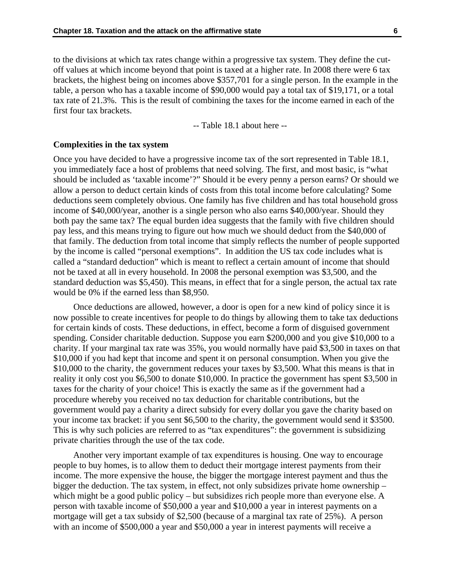to the divisions at which tax rates change within a progressive tax system. They define the cutoff values at which income beyond that point is taxed at a higher rate. In 2008 there were 6 tax brackets, the highest being on incomes above \$357,701 for a single person. In the example in the table, a person who has a taxable income of \$90,000 would pay a total tax of \$19,171, or a total tax rate of 21.3%. This is the result of combining the taxes for the income earned in each of the first four tax brackets.

-- Table 18.1 about here --

#### **Complexities in the tax system**

Once you have decided to have a progressive income tax of the sort represented in Table 18.1, you immediately face a host of problems that need solving. The first, and most basic, is "what should be included as 'taxable income'?" Should it be every penny a person earns? Or should we allow a person to deduct certain kinds of costs from this total income before calculating? Some deductions seem completely obvious. One family has five children and has total household gross income of \$40,000/year, another is a single person who also earns \$40,000/year. Should they both pay the same tax? The equal burden idea suggests that the family with five children should pay less, and this means trying to figure out how much we should deduct from the \$40,000 of that family. The deduction from total income that simply reflects the number of people supported by the income is called "personal exemptions". In addition the US tax code includes what is called a "standard deduction" which is meant to reflect a certain amount of income that should not be taxed at all in every household. In 2008 the personal exemption was \$3,500, and the standard deduction was \$5,450). This means, in effect that for a single person, the actual tax rate would be 0% if the earned less than \$8,950.

 Once deductions are allowed, however, a door is open for a new kind of policy since it is now possible to create incentives for people to do things by allowing them to take tax deductions for certain kinds of costs. These deductions, in effect, become a form of disguised government spending. Consider charitable deduction. Suppose you earn \$200,000 and you give \$10,000 to a charity. If your marginal tax rate was 35%, you would normally have paid \$3,500 in taxes on that \$10,000 if you had kept that income and spent it on personal consumption. When you give the \$10,000 to the charity, the government reduces your taxes by \$3,500. What this means is that in reality it only cost you \$6,500 to donate \$10,000. In practice the government has spent \$3,500 in taxes for the charity of your choice! This is exactly the same as if the government had a procedure whereby you received no tax deduction for charitable contributions, but the government would pay a charity a direct subsidy for every dollar you gave the charity based on your income tax bracket: if you sent \$6,500 to the charity, the government would send it \$3500. This is why such policies are referred to as "tax expenditures": the government is subsidizing private charities through the use of the tax code.

 Another very important example of tax expenditures is housing. One way to encourage people to buy homes, is to allow them to deduct their mortgage interest payments from their income. The more expensive the house, the bigger the mortgage interest payment and thus the bigger the deduction. The tax system, in effect, not only subsidizes private home ownership – which might be a good public policy – but subsidizes rich people more than everyone else. A person with taxable income of \$50,000 a year and \$10,000 a year in interest payments on a mortgage will get a tax subsidy of \$2,500 (because of a marginal tax rate of 25%). A person with an income of \$500,000 a year and \$50,000 a year in interest payments will receive a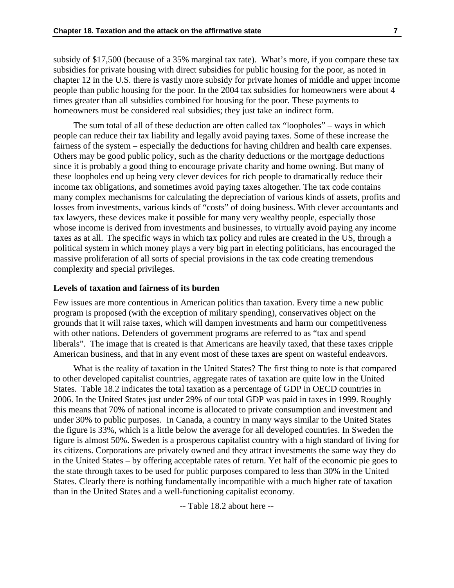subsidy of \$17,500 (because of a 35% marginal tax rate). What's more, if you compare these tax subsidies for private housing with direct subsidies for public housing for the poor, as noted in chapter 12 in the U.S. there is vastly more subsidy for private homes of middle and upper income people than public housing for the poor. In the 2004 tax subsidies for homeowners were about 4 times greater than all subsidies combined for housing for the poor. These payments to homeowners must be considered real subsidies; they just take an indirect form.

 The sum total of all of these deduction are often called tax "loopholes" – ways in which people can reduce their tax liability and legally avoid paying taxes. Some of these increase the fairness of the system – especially the deductions for having children and health care expenses. Others may be good public policy, such as the charity deductions or the mortgage deductions since it is probably a good thing to encourage private charity and home owning. But many of these loopholes end up being very clever devices for rich people to dramatically reduce their income tax obligations, and sometimes avoid paying taxes altogether. The tax code contains many complex mechanisms for calculating the depreciation of various kinds of assets, profits and losses from investments, various kinds of "costs" of doing business. With clever accountants and tax lawyers, these devices make it possible for many very wealthy people, especially those whose income is derived from investments and businesses, to virtually avoid paying any income taxes as at all. The specific ways in which tax policy and rules are created in the US, through a political system in which money plays a very big part in electing politicians, has encouraged the massive proliferation of all sorts of special provisions in the tax code creating tremendous complexity and special privileges.

### **Levels of taxation and fairness of its burden**

Few issues are more contentious in American politics than taxation. Every time a new public program is proposed (with the exception of military spending), conservatives object on the grounds that it will raise taxes, which will dampen investments and harm our competitiveness with other nations. Defenders of government programs are referred to as "tax and spend liberals". The image that is created is that Americans are heavily taxed, that these taxes cripple American business, and that in any event most of these taxes are spent on wasteful endeavors.

 What is the reality of taxation in the United States? The first thing to note is that compared to other developed capitalist countries, aggregate rates of taxation are quite low in the United States. Table 18.2 indicates the total taxation as a percentage of GDP in OECD countries in 2006. In the United States just under 29% of our total GDP was paid in taxes in 1999. Roughly this means that 70% of national income is allocated to private consumption and investment and under 30% to public purposes. In Canada, a country in many ways similar to the United States the figure is 33%, which is a little below the average for all developed countries. In Sweden the figure is almost 50%. Sweden is a prosperous capitalist country with a high standard of living for its citizens. Corporations are privately owned and they attract investments the same way they do in the United States – by offering acceptable rates of return. Yet half of the economic pie goes to the state through taxes to be used for public purposes compared to less than 30% in the United States. Clearly there is nothing fundamentally incompatible with a much higher rate of taxation than in the United States and a well-functioning capitalist economy.

-- Table 18.2 about here --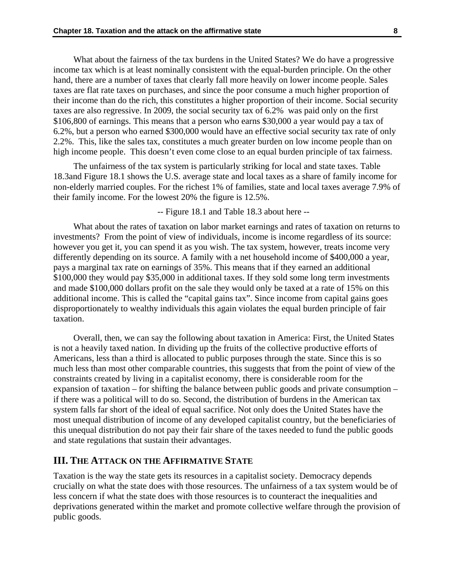What about the fairness of the tax burdens in the United States? We do have a progressive income tax which is at least nominally consistent with the equal-burden principle. On the other hand, there are a number of taxes that clearly fall more heavily on lower income people. Sales taxes are flat rate taxes on purchases, and since the poor consume a much higher proportion of their income than do the rich, this constitutes a higher proportion of their income. Social security taxes are also regressive. In 2009, the social security tax of 6.2% was paid only on the first \$106,800 of earnings. This means that a person who earns \$30,000 a year would pay a tax of 6.2%, but a person who earned \$300,000 would have an effective social security tax rate of only 2.2%. This, like the sales tax, constitutes a much greater burden on low income people than on high income people. This doesn't even come close to an equal burden principle of tax fairness.

 The unfairness of the tax system is particularly striking for local and state taxes. Table 18.3and Figure 18.1 shows the U.S. average state and local taxes as a share of family income for non-elderly married couples. For the richest 1% of families, state and local taxes average 7.9% of their family income. For the lowest 20% the figure is 12.5%.

-- Figure 18.1 and Table 18.3 about here --

 What about the rates of taxation on labor market earnings and rates of taxation on returns to investments? From the point of view of individuals, income is income regardless of its source: however you get it, you can spend it as you wish. The tax system, however, treats income very differently depending on its source. A family with a net household income of \$400,000 a year, pays a marginal tax rate on earnings of 35%. This means that if they earned an additional \$100,000 they would pay \$35,000 in additional taxes. If they sold some long term investments and made \$100,000 dollars profit on the sale they would only be taxed at a rate of 15% on this additional income. This is called the "capital gains tax". Since income from capital gains goes disproportionately to wealthy individuals this again violates the equal burden principle of fair taxation.

 Overall, then, we can say the following about taxation in America: First, the United States is not a heavily taxed nation. In dividing up the fruits of the collective productive efforts of Americans, less than a third is allocated to public purposes through the state. Since this is so much less than most other comparable countries, this suggests that from the point of view of the constraints created by living in a capitalist economy, there is considerable room for the expansion of taxation – for shifting the balance between public goods and private consumption – if there was a political will to do so. Second, the distribution of burdens in the American tax system falls far short of the ideal of equal sacrifice. Not only does the United States have the most unequal distribution of income of any developed capitalist country, but the beneficiaries of this unequal distribution do not pay their fair share of the taxes needed to fund the public goods and state regulations that sustain their advantages.

### **III. THE ATTACK ON THE AFFIRMATIVE STATE**

Taxation is the way the state gets its resources in a capitalist society. Democracy depends crucially on what the state does with those resources. The unfairness of a tax system would be of less concern if what the state does with those resources is to counteract the inequalities and deprivations generated within the market and promote collective welfare through the provision of public goods.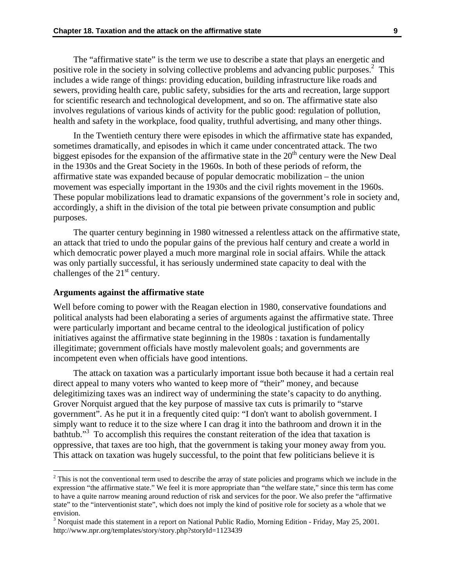The "affirmative state" is the term we use to describe a state that plays an energetic and positive role in the society in solving collective problems and advancing public purposes.<sup>2</sup> This includes a wide range of things: providing education, building infrastructure like roads and sewers, providing health care, public safety, subsidies for the arts and recreation, large support for scientific research and technological development, and so on. The affirmative state also involves regulations of various kinds of activity for the public good: regulation of pollution, health and safety in the workplace, food quality, truthful advertising, and many other things.

 In the Twentieth century there were episodes in which the affirmative state has expanded, sometimes dramatically, and episodes in which it came under concentrated attack. The two biggest episodes for the expansion of the affirmative state in the  $20<sup>th</sup>$  century were the New Deal in the 1930s and the Great Society in the 1960s. In both of these periods of reform, the affirmative state was expanded because of popular democratic mobilization – the union movement was especially important in the 1930s and the civil rights movement in the 1960s. These popular mobilizations lead to dramatic expansions of the government's role in society and, accordingly, a shift in the division of the total pie between private consumption and public purposes.

 The quarter century beginning in 1980 witnessed a relentless attack on the affirmative state, an attack that tried to undo the popular gains of the previous half century and create a world in which democratic power played a much more marginal role in social affairs. While the attack was only partially successful, it has seriously undermined state capacity to deal with the challenges of the  $21<sup>st</sup>$  century.

#### **Arguments against the affirmative state**

<u>.</u>

Well before coming to power with the Reagan election in 1980, conservative foundations and political analysts had been elaborating a series of arguments against the affirmative state. Three were particularly important and became central to the ideological justification of policy initiatives against the affirmative state beginning in the 1980s : taxation is fundamentally illegitimate; government officials have mostly malevolent goals; and governments are incompetent even when officials have good intentions.

 The attack on taxation was a particularly important issue both because it had a certain real direct appeal to many voters who wanted to keep more of "their" money, and because delegitimizing taxes was an indirect way of undermining the state's capacity to do anything. Grover Norquist argued that the key purpose of massive tax cuts is primarily to "starve government". As he put it in a frequently cited quip: "I don't want to abolish government. I simply want to reduce it to the size where I can drag it into the bathroom and drown it in the bathtub."<sup>3</sup> To accomplish this requires the constant reiteration of the idea that taxation is oppressive, that taxes are too high, that the government is taking your money away from you. This attack on taxation was hugely successful, to the point that few politicians believe it is

 $2^2$  This is not the conventional term used to describe the array of state policies and programs which we include in the expression "the affirmative state." We feel it is more appropriate than "the welfare state," since this term has come to have a quite narrow meaning around reduction of risk and services for the poor. We also prefer the "affirmative state" to the "interventionist state", which does not imply the kind of positive role for society as a whole that we envision.

<sup>&</sup>lt;sup>3</sup> Norquist made this statement in a report on National Public Radio, Morning Edition - Friday, May 25, 2001. http://www.npr.org/templates/story/story.php?storyId=1123439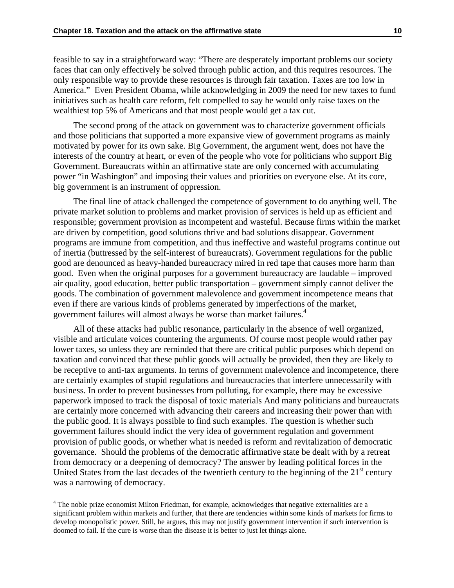feasible to say in a straightforward way: "There are desperately important problems our society faces that can only effectively be solved through public action, and this requires resources. The only responsible way to provide these resources is through fair taxation. Taxes are too low in America." Even President Obama, while acknowledging in 2009 the need for new taxes to fund initiatives such as health care reform, felt compelled to say he would only raise taxes on the wealthiest top 5% of Americans and that most people would get a tax cut.

 The second prong of the attack on government was to characterize government officials and those politicians that supported a more expansive view of government programs as mainly motivated by power for its own sake. Big Government, the argument went, does not have the interests of the country at heart, or even of the people who vote for politicians who support Big Government. Bureaucrats within an affirmative state are only concerned with accumulating power "in Washington" and imposing their values and priorities on everyone else. At its core, big government is an instrument of oppression.

 The final line of attack challenged the competence of government to do anything well. The private market solution to problems and market provision of services is held up as efficient and responsible; government provision as incompetent and wasteful. Because firms within the market are driven by competition, good solutions thrive and bad solutions disappear. Government programs are immune from competition, and thus ineffective and wasteful programs continue out of inertia (buttressed by the self-interest of bureaucrats). Government regulations for the public good are denounced as heavy-handed bureaucracy mired in red tape that causes more harm than good. Even when the original purposes for a government bureaucracy are laudable – improved air quality, good education, better public transportation – government simply cannot deliver the goods. The combination of government malevolence and government incompetence means that even if there are various kinds of problems generated by imperfections of the market, government failures will almost always be worse than market failures.<sup>4</sup>

 All of these attacks had public resonance, particularly in the absence of well organized, visible and articulate voices countering the arguments. Of course most people would rather pay lower taxes, so unless they are reminded that there are critical public purposes which depend on taxation and convinced that these public goods will actually be provided, then they are likely to be receptive to anti-tax arguments. In terms of government malevolence and incompetence, there are certainly examples of stupid regulations and bureaucracies that interfere unnecessarily with business. In order to prevent businesses from polluting, for example, there may be excessive paperwork imposed to track the disposal of toxic materials And many politicians and bureaucrats are certainly more concerned with advancing their careers and increasing their power than with the public good. It is always possible to find such examples. The question is whether such government failures should indict the very idea of government regulation and government provision of public goods, or whether what is needed is reform and revitalization of democratic governance. Should the problems of the democratic affirmative state be dealt with by a retreat from democracy or a deepening of democracy? The answer by leading political forces in the United States from the last decades of the twentieth century to the beginning of the 21<sup>st</sup> century was a narrowing of democracy.

 $\overline{a}$ 

 $4$  The noble prize economist Milton Friedman, for example, acknowledges that negative externalities are a significant problem within markets and further, that there are tendencies within some kinds of markets for firms to develop monopolistic power. Still, he argues, this may not justify government intervention if such intervention is doomed to fail. If the cure is worse than the disease it is better to just let things alone.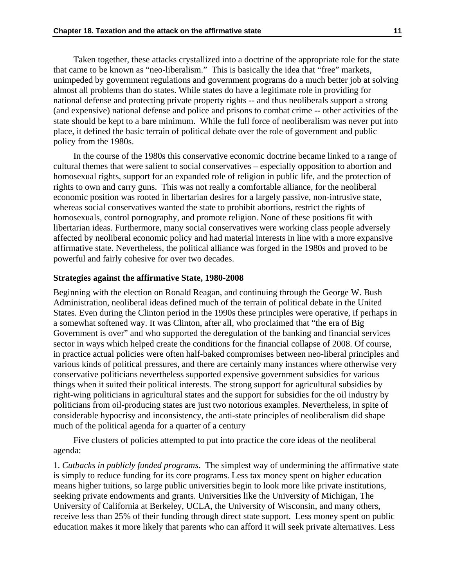Taken together, these attacks crystallized into a doctrine of the appropriate role for the state that came to be known as "neo-liberalism." This is basically the idea that "free" markets, unimpeded by government regulations and government programs do a much better job at solving almost all problems than do states. While states do have a legitimate role in providing for national defense and protecting private property rights -- and thus neoliberals support a strong (and expensive) national defense and police and prisons to combat crime -- other activities of the state should be kept to a bare minimum. While the full force of neoliberalism was never put into place, it defined the basic terrain of political debate over the role of government and public policy from the 1980s.

 In the course of the 1980s this conservative economic doctrine became linked to a range of cultural themes that were salient to social conservatives – especially opposition to abortion and homosexual rights, support for an expanded role of religion in public life, and the protection of rights to own and carry guns. This was not really a comfortable alliance, for the neoliberal economic position was rooted in libertarian desires for a largely passive, non-intrusive state, whereas social conservatives wanted the state to prohibit abortions, restrict the rights of homosexuals, control pornography, and promote religion. None of these positions fit with libertarian ideas. Furthermore, many social conservatives were working class people adversely affected by neoliberal economic policy and had material interests in line with a more expansive affirmative state. Nevertheless, the political alliance was forged in the 1980s and proved to be powerful and fairly cohesive for over two decades.

#### **Strategies against the affirmative State, 1980-2008**

Beginning with the election on Ronald Reagan, and continuing through the George W. Bush Administration, neoliberal ideas defined much of the terrain of political debate in the United States. Even during the Clinton period in the 1990s these principles were operative, if perhaps in a somewhat softened way. It was Clinton, after all, who proclaimed that "the era of Big Government is over" and who supported the deregulation of the banking and financial services sector in ways which helped create the conditions for the financial collapse of 2008. Of course, in practice actual policies were often half-baked compromises between neo-liberal principles and various kinds of political pressures, and there are certainly many instances where otherwise very conservative politicians nevertheless supported expensive government subsidies for various things when it suited their political interests. The strong support for agricultural subsidies by right-wing politicians in agricultural states and the support for subsidies for the oil industry by politicians from oil-producing states are just two notorious examples. Nevertheless, in spite of considerable hypocrisy and inconsistency, the anti-state principles of neoliberalism did shape much of the political agenda for a quarter of a century

 Five clusters of policies attempted to put into practice the core ideas of the neoliberal agenda:

1. *Cutbacks in publicly funded programs*. The simplest way of undermining the affirmative state is simply to reduce funding for its core programs. Less tax money spent on higher education means higher tuitions, so large public universities begin to look more like private institutions, seeking private endowments and grants. Universities like the University of Michigan, The University of California at Berkeley, UCLA, the University of Wisconsin, and many others, receive less than 25% of their funding through direct state support. Less money spent on public education makes it more likely that parents who can afford it will seek private alternatives. Less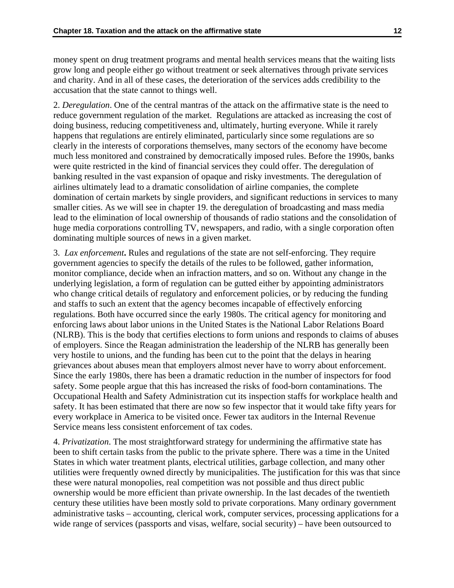money spent on drug treatment programs and mental health services means that the waiting lists grow long and people either go without treatment or seek alternatives through private services and charity. And in all of these cases, the deterioration of the services adds credibility to the accusation that the state cannot to things well.

2. *Deregulation*. One of the central mantras of the attack on the affirmative state is the need to reduce government regulation of the market. Regulations are attacked as increasing the cost of doing business, reducing competitiveness and, ultimately, hurting everyone. While it rarely happens that regulations are entirely eliminated, particularly since some regulations are so clearly in the interests of corporations themselves, many sectors of the economy have become much less monitored and constrained by democratically imposed rules. Before the 1990s, banks were quite restricted in the kind of financial services they could offer. The deregulation of banking resulted in the vast expansion of opaque and risky investments. The deregulation of airlines ultimately lead to a dramatic consolidation of airline companies, the complete domination of certain markets by single providers, and significant reductions in services to many smaller cities. As we will see in chapter 19. the deregulation of broadcasting and mass media lead to the elimination of local ownership of thousands of radio stations and the consolidation of huge media corporations controlling TV, newspapers, and radio, with a single corporation often dominating multiple sources of news in a given market.

3. *Lax enforcement***.** Rules and regulations of the state are not self-enforcing. They require government agencies to specify the details of the rules to be followed, gather information, monitor compliance, decide when an infraction matters, and so on. Without any change in the underlying legislation, a form of regulation can be gutted either by appointing administrators who change critical details of regulatory and enforcement policies, or by reducing the funding and staffs to such an extent that the agency becomes incapable of effectively enforcing regulations. Both have occurred since the early 1980s. The critical agency for monitoring and enforcing laws about labor unions in the United States is the National Labor Relations Board (NLRB). This is the body that certifies elections to form unions and responds to claims of abuses of employers. Since the Reagan administration the leadership of the NLRB has generally been very hostile to unions, and the funding has been cut to the point that the delays in hearing grievances about abuses mean that employers almost never have to worry about enforcement. Since the early 1980s, there has been a dramatic reduction in the number of inspectors for food safety. Some people argue that this has increased the risks of food-born contaminations. The Occupational Health and Safety Administration cut its inspection staffs for workplace health and safety. It has been estimated that there are now so few inspector that it would take fifty years for every workplace in America to be visited once. Fewer tax auditors in the Internal Revenue Service means less consistent enforcement of tax codes.

4. *Privatization*. The most straightforward strategy for undermining the affirmative state has been to shift certain tasks from the public to the private sphere. There was a time in the United States in which water treatment plants, electrical utilities, garbage collection, and many other utilities were frequently owned directly by municipalities. The justification for this was that since these were natural monopolies, real competition was not possible and thus direct public ownership would be more efficient than private ownership. In the last decades of the twentieth century these utilities have been mostly sold to private corporations. Many ordinary government administrative tasks – accounting, clerical work, computer services, processing applications for a wide range of services (passports and visas, welfare, social security) – have been outsourced to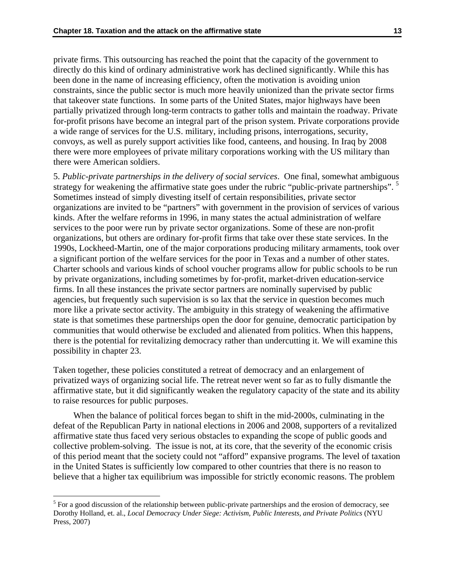private firms. This outsourcing has reached the point that the capacity of the government to directly do this kind of ordinary administrative work has declined significantly. While this has been done in the name of increasing efficiency, often the motivation is avoiding union constraints, since the public sector is much more heavily unionized than the private sector firms that takeover state functions. In some parts of the United States, major highways have been partially privatized through long-term contracts to gather tolls and maintain the roadway. Private for-profit prisons have become an integral part of the prison system. Private corporations provide a wide range of services for the U.S. military, including prisons, interrogations, security, convoys, as well as purely support activities like food, canteens, and housing. In Iraq by 2008 there were more employees of private military corporations working with the US military than there were American soldiers.

5. *Public-private partnerships in the delivery of social services*. One final, somewhat ambiguous strategy for weakening the affirmative state goes under the rubric "public-private partnerships". <sup>5</sup> Sometimes instead of simply divesting itself of certain responsibilities, private sector organizations are invited to be "partners" with government in the provision of services of various kinds. After the welfare reforms in 1996, in many states the actual administration of welfare services to the poor were run by private sector organizations. Some of these are non-profit organizations, but others are ordinary for-profit firms that take over these state services. In the 1990s, Lockheed-Martin, one of the major corporations producing military armaments, took over a significant portion of the welfare services for the poor in Texas and a number of other states. Charter schools and various kinds of school voucher programs allow for public schools to be run by private organizations, including sometimes by for-profit, market-driven education-service firms. In all these instances the private sector partners are nominally supervised by public agencies, but frequently such supervision is so lax that the service in question becomes much more like a private sector activity. The ambiguity in this strategy of weakening the affirmative state is that sometimes these partnerships open the door for genuine, democratic participation by communities that would otherwise be excluded and alienated from politics. When this happens, there is the potential for revitalizing democracy rather than undercutting it. We will examine this possibility in chapter 23.

Taken together, these policies constituted a retreat of democracy and an enlargement of privatized ways of organizing social life. The retreat never went so far as to fully dismantle the affirmative state, but it did significantly weaken the regulatory capacity of the state and its ability to raise resources for public purposes.

 When the balance of political forces began to shift in the mid-2000s, culminating in the defeat of the Republican Party in national elections in 2006 and 2008, supporters of a revitalized affirmative state thus faced very serious obstacles to expanding the scope of public goods and collective problem-solving. The issue is not, at its core, that the severity of the economic crisis of this period meant that the society could not "afford" expansive programs. The level of taxation in the United States is sufficiently low compared to other countries that there is no reason to believe that a higher tax equilibrium was impossible for strictly economic reasons. The problem

 $\overline{a}$ 

 $<sup>5</sup>$  For a good discussion of the relationship between public-private partnerships and the erosion of democracy, see</sup> Dorothy Holland, et. al., *Local Democracy Under Siege: Activism, Public Interests, and Private Politics* (NYU Press, 2007)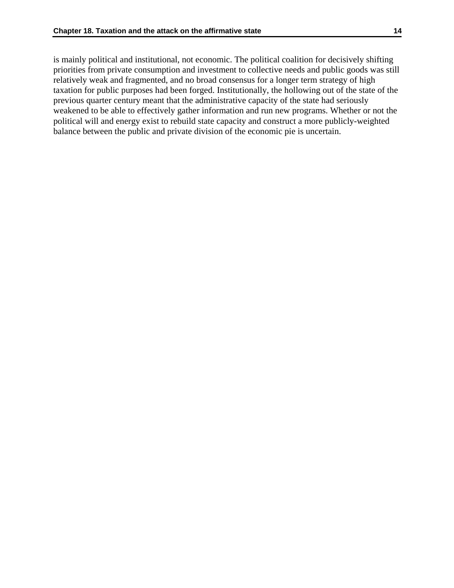is mainly political and institutional, not economic. The political coalition for decisively shifting priorities from private consumption and investment to collective needs and public goods was still relatively weak and fragmented, and no broad consensus for a longer term strategy of high taxation for public purposes had been forged. Institutionally, the hollowing out of the state of the previous quarter century meant that the administrative capacity of the state had seriously weakened to be able to effectively gather information and run new programs. Whether or not the political will and energy exist to rebuild state capacity and construct a more publicly-weighted balance between the public and private division of the economic pie is uncertain.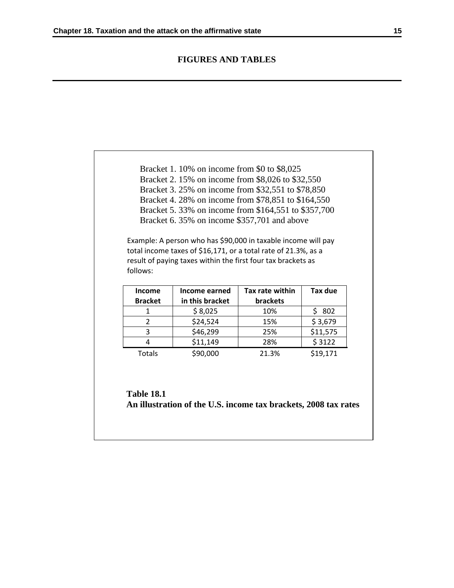Bracket 1. 10% on income from \$0 to \$8,025 Bracket 2. 15% on income from \$8,026 to \$32,550 Bracket 3. 25% on income from \$32,551 to \$78,850 Bracket 4. 28% on income from \$78,851 to \$164,550 Bracket 5. 33% on income from \$164,551 to \$357,700 Bracket 6. 35% on income \$357,701 and above

Example: A person who has \$90,000 in taxable income will pay total income taxes of \$16,171, or a total rate of 21.3%, as a result of paying taxes within the first four tax brackets as follows:

| <b>Income</b>  | Income earned   | Tax rate within | Tax due  |
|----------------|-----------------|-----------------|----------|
| <b>Bracket</b> | in this bracket | <b>brackets</b> |          |
|                | \$8,025         | 10%             | 802      |
|                | \$24,524        | 15%             | \$3,679  |
| 3              | \$46,299        | 25%             | \$11,575 |
|                | \$11,149        | 28%             | \$3122   |
| Totals         | \$90,000        | 21.3%           | \$19,171 |

**Table 18.1 An illustration of the U.S. income tax brackets, 2008 tax rates**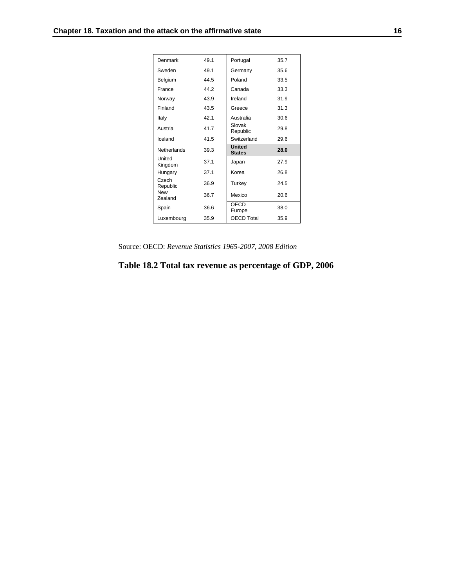| Denmark               | 49.1 | Portugal                       | 35.7 |
|-----------------------|------|--------------------------------|------|
| Sweden                | 49.1 | Germany                        | 35.6 |
| Belgium               | 44.5 | Poland                         | 33.5 |
| France                | 44.2 | Canada                         | 33.3 |
| Norway                | 43.9 | Ireland                        | 31.9 |
| Finland               | 43.5 | Greece                         | 31.3 |
| Italy                 | 42.1 | Australia                      | 30.6 |
| Austria               | 41.7 | Slovak<br>Republic             | 29.8 |
| Iceland               | 41.5 | Switzerland                    | 29.6 |
| <b>Netherlands</b>    | 39.3 | <b>United</b><br><b>States</b> | 28.0 |
| United<br>Kingdom     | 37.1 | Japan                          | 27.9 |
| Hungary               | 37.1 | Korea                          | 26.8 |
| Czech<br>Republic     | 36.9 | Turkey                         | 24.5 |
| <b>New</b><br>Zealand | 36.7 | Mexico                         | 20.6 |
| Spain                 | 36.6 | <b>OECD</b><br>Europe          | 38.0 |
| Luxembourg            | 35.9 | <b>OECD Total</b>              | 35.9 |

Source: OECD: *Revenue Statistics 1965-2007, 2008 Edition*

## **Table 18.2 Total tax revenue as percentage of GDP, 2006**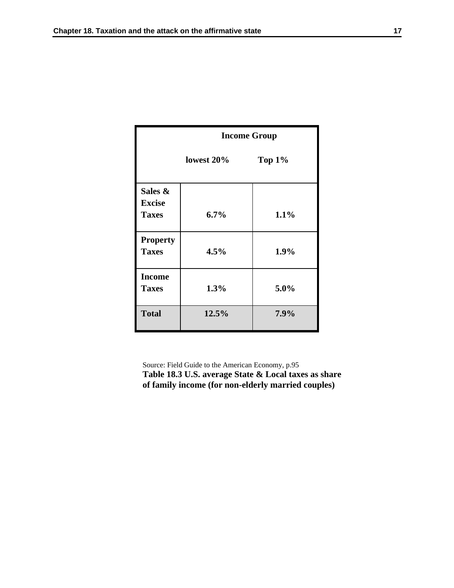|                                          | <b>Income Group</b> |           |  |
|------------------------------------------|---------------------|-----------|--|
|                                          | lowest $20\%$       | Top $1\%$ |  |
| Sales &<br><b>Excise</b><br><b>Taxes</b> | $6.7\%$             | 1.1%      |  |
| <b>Property</b><br><b>Taxes</b>          | 4.5%                | 1.9%      |  |
| <b>Income</b><br><b>Taxes</b>            | 1.3%                | $5.0\%$   |  |
| <b>Total</b>                             | 12.5%               | 7.9%      |  |

Source: Field Guide to the American Economy, p.95 **Table 18.3 U.S. average State & Local taxes as share of family income (for non-elderly married couples)**